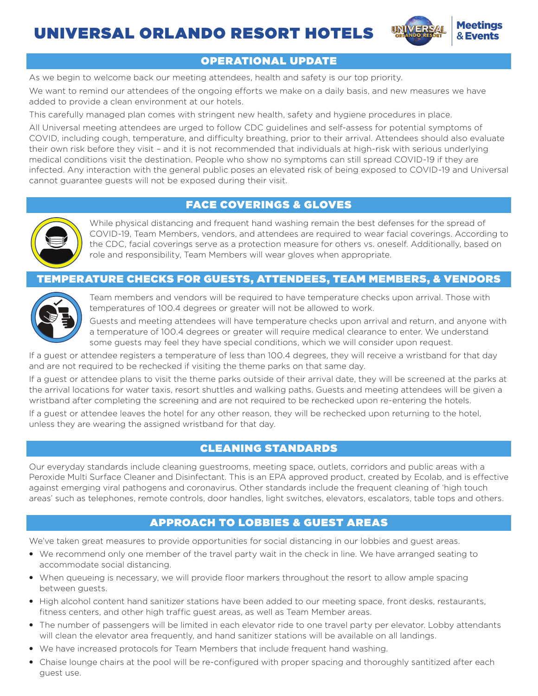



# OPERATIONAL UPDATE

As we begin to welcome back our meeting attendees, health and safety is our top priority.

We want to remind our attendees of the ongoing efforts we make on a daily basis, and new measures we have added to provide a clean environment at our hotels.

This carefully managed plan comes with stringent new health, safety and hygiene procedures in place.

All Universal meeting attendees are urged to follow CDC guidelines and self-assess for potential symptoms of COVID, including cough, temperature, and difficulty breathing, prior to their arrival. Attendees should also evaluate their own risk before they visit – and it is not recommended that individuals at high-risk with serious underlying medical conditions visit the destination. People who show no symptoms can still spread COVID-19 if they are infected. Any interaction with the general public poses an elevated risk of being exposed to COVID-19 and Universal cannot guarantee guests will not be exposed during their visit.

### FACE COVERINGS & GLOVES



While physical distancing and frequent hand washing remain the best defenses for the spread of COVID-19, Team Members, vendors, and attendees are required to wear facial coverings. According to the CDC, facial coverings serve as a protection measure for others vs. oneself. Additionally, based on role and responsibility, Team Members will wear gloves when appropriate.

### TEMPERATURE CHECKS FOR GUESTS, ATTENDEES, TEAM MEMBERS, & VENDORS



Team members and vendors will be required to have temperature checks upon arrival. Those with temperatures of 100.4 degrees or greater will not be allowed to work.

Guests and meeting attendees will have temperature checks upon arrival and return, and anyone with a temperature of 100.4 degrees or greater will require medical clearance to enter. We understand some guests may feel they have special conditions, which we will consider upon request.

If a guest or attendee registers a temperature of less than 100.4 degrees, they will receive a wristband for that day and are not required to be rechecked if visiting the theme parks on that same day.

If a guest or attendee plans to visit the theme parks outside of their arrival date, they will be screened at the parks at the arrival locations for water taxis, resort shuttles and walking paths. Guests and meeting attendees will be given a wristband after completing the screening and are not required to be rechecked upon re-entering the hotels.

If a guest or attendee leaves the hotel for any other reason, they will be rechecked upon returning to the hotel, unless they are wearing the assigned wristband for that day.

## CLEANING STANDARDS

Our everyday standards include cleaning guestrooms, meeting space, outlets, corridors and public areas with a Peroxide Multi Surface Cleaner and Disinfectant. This is an EPA approved product, created by Ecolab, and is effective against emerging viral pathogens and coronavirus. Other standards include the frequent cleaning of 'high touch areas' such as telephones, remote controls, door handles, light switches, elevators, escalators, table tops and others.

## APPROACH TO LOBBIES & GUEST AREAS

We've taken great measures to provide opportunities for social distancing in our lobbies and guest areas.

- We recommend only one member of the travel party wait in the check in line. We have arranged seating to accommodate social distancing.
- When queueing is necessary, we will provide floor markers throughout the resort to allow ample spacing between guests.
- High alcohol content hand sanitizer stations have been added to our meeting space, front desks, restaurants, fitness centers, and other high traffic guest areas, as well as Team Member areas.
- The number of passengers will be limited in each elevator ride to one travel party per elevator. Lobby attendants will clean the elevator area frequently, and hand sanitizer stations will be available on all landings.
- We have increased protocols for Team Members that include frequent hand washing.
- Chaise lounge chairs at the pool will be re-configured with proper spacing and thoroughly santitized after each guest use.